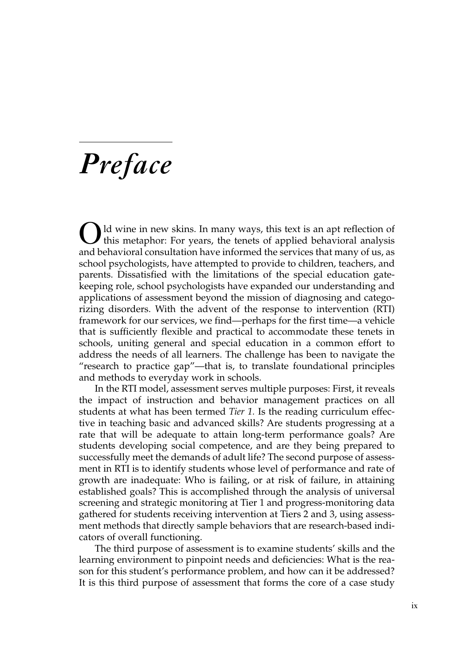## *Preface*

Id wine in new skins. In many ways, this text is an apt reflection of this metaphor: For years, the tenets of applied behavioral analysis and behavioral consultation have informed the services that many of us, as school psychologists, have attempted to provide to children, teachers, and parents. Dissatisfied with the limitations of the special education gatekeeping role, school psychologists have expanded our understanding and applications of assessment beyond the mission of diagnosing and categorizing disorders. With the advent of the response to intervention (RTI) framework for our services, we find—perhaps for the first time—a vehicle that is sufficiently flexible and practical to accommodate these tenets in schools, uniting general and special education in a common effort to address the needs of all learners. The challenge has been to navigate the "research to practice gap"—that is, to translate foundational principles and methods to everyday work in schools.

In the RTI model, assessment serves multiple purposes: First, it reveals the impact of instruction and behavior management practices on all students at what has been termed *Tier 1.* Is the reading curriculum effective in teaching basic and advanced skills? Are students progressing at a rate that will be adequate to attain long-term performance goals? Are students developing social competence, and are they being prepared to successfully meet the demands of adult life? The second purpose of assessment in RTI is to identify students whose level of performance and rate of growth are inadequate: Who is failing, or at risk of failure, in attaining established goals? This is accomplished through the analysis of universal screening and strategic monitoring at Tier 1 and progress-monitoring data gathered for students receiving intervention at Tiers 2 and 3, using assessment methods that directly sample behaviors that are research-based indicators of overall functioning.

The third purpose of assessment is to examine students' skills and the learning environment to pinpoint needs and deficiencies: What is the reason for this student's performance problem, and how can it be addressed? It is this third purpose of assessment that forms the core of a case study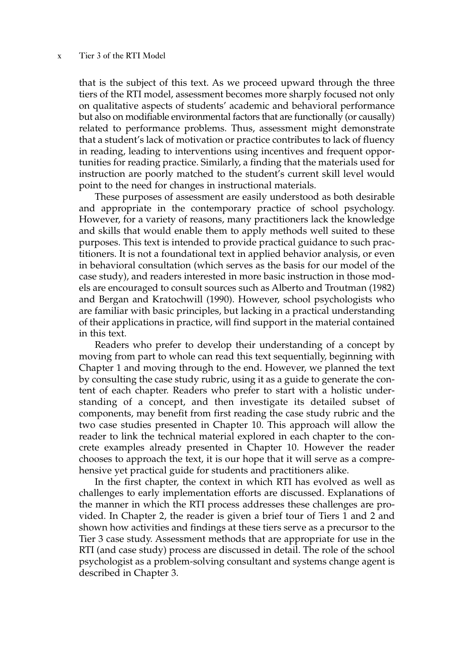## x Tier 3 of the RTI Model

that is the subject of this text. As we proceed upward through the three tiers of the RTI model, assessment becomes more sharply focused not only on qualitative aspects of students' academic and behavioral performance but also on modifiable environmental factors that are functionally (or causally) related to performance problems. Thus, assessment might demonstrate that a student's lack of motivation or practice contributes to lack of fluency in reading, leading to interventions using incentives and frequent opportunities for reading practice. Similarly, a finding that the materials used for instruction are poorly matched to the student's current skill level would point to the need for changes in instructional materials.

These purposes of assessment are easily understood as both desirable and appropriate in the contemporary practice of school psychology. However, for a variety of reasons, many practitioners lack the knowledge and skills that would enable them to apply methods well suited to these purposes. This text is intended to provide practical guidance to such practitioners. It is not a foundational text in applied behavior analysis, or even in behavioral consultation (which serves as the basis for our model of the case study), and readers interested in more basic instruction in those models are encouraged to consult sources such as Alberto and Troutman (1982) and Bergan and Kratochwill (1990). However, school psychologists who are familiar with basic principles, but lacking in a practical understanding of their applications in practice, will find support in the material contained in this text.

Readers who prefer to develop their understanding of a concept by moving from part to whole can read this text sequentially, beginning with Chapter 1 and moving through to the end. However, we planned the text by consulting the case study rubric, using it as a guide to generate the content of each chapter. Readers who prefer to start with a holistic understanding of a concept, and then investigate its detailed subset of components, may benefit from first reading the case study rubric and the two case studies presented in Chapter 10. This approach will allow the reader to link the technical material explored in each chapter to the concrete examples already presented in Chapter 10. However the reader chooses to approach the text, it is our hope that it will serve as a comprehensive yet practical guide for students and practitioners alike.

In the first chapter, the context in which RTI has evolved as well as challenges to early implementation efforts are discussed. Explanations of the manner in which the RTI process addresses these challenges are provided. In Chapter 2, the reader is given a brief tour of Tiers 1 and 2 and shown how activities and findings at these tiers serve as a precursor to the Tier 3 case study. Assessment methods that are appropriate for use in the RTI (and case study) process are discussed in detail. The role of the school psychologist as a problem-solving consultant and systems change agent is described in Chapter 3.